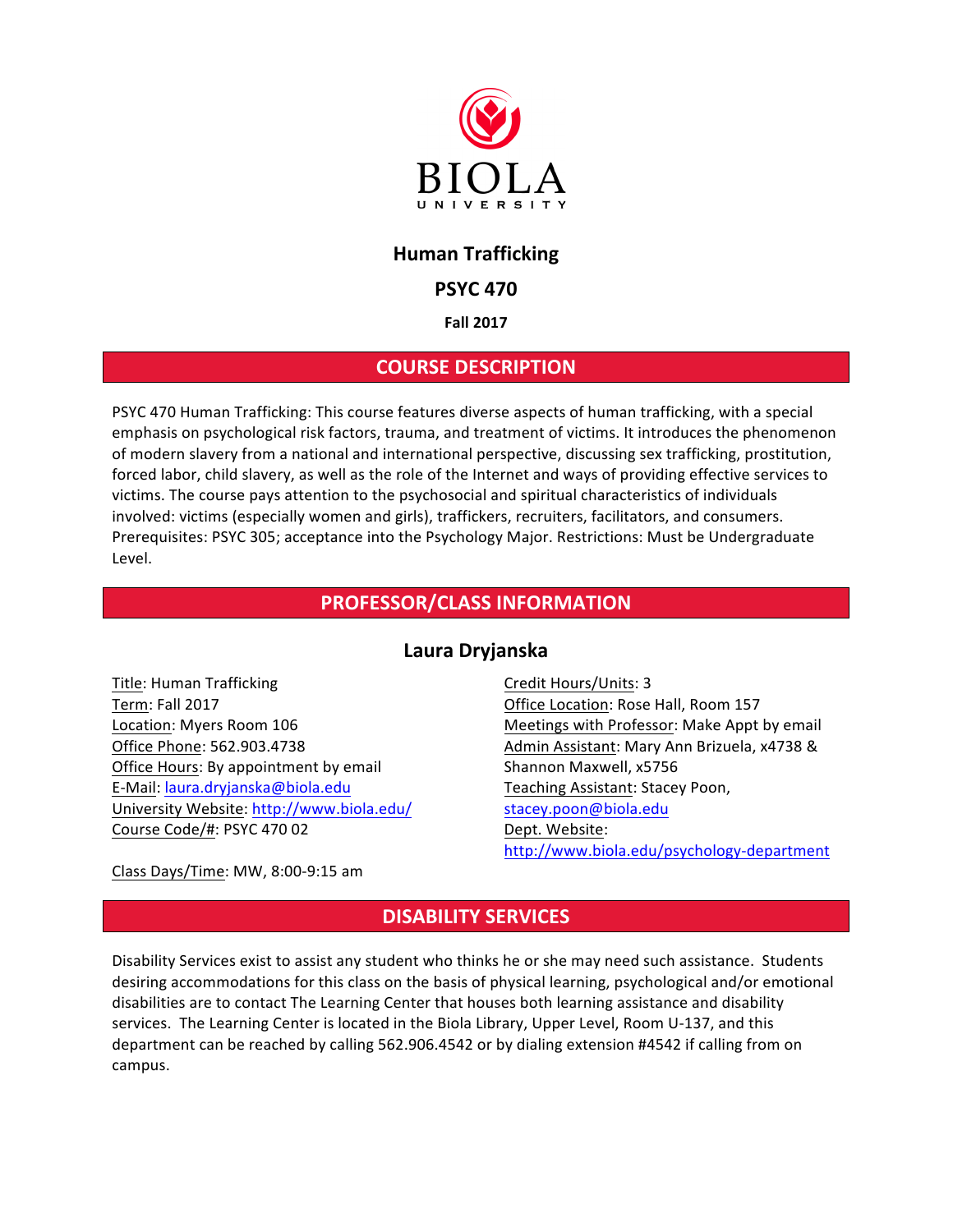

# **Human Trafficking**

## **PSYC 470**

### **Fall 2017**

## **COURSE DESCRIPTION**

PSYC 470 Human Trafficking: This course features diverse aspects of human trafficking, with a special emphasis on psychological risk factors, trauma, and treatment of victims. It introduces the phenomenon of modern slavery from a national and international perspective, discussing sex trafficking, prostitution, forced labor, child slavery, as well as the role of the Internet and ways of providing effective services to victims. The course pays attention to the psychosocial and spiritual characteristics of individuals involved: victims (especially women and girls), traffickers, recruiters, facilitators, and consumers. Prerequisites: PSYC 305; acceptance into the Psychology Major. Restrictions: Must be Undergraduate Level.

## **PROFESSOR/CLASS INFORMATION**

## **Laura Dryjanska**

Title: Human Trafficking Term: Fall 2017 Location: Myers Room 106 Office Phone: 562.903.4738 Office Hours: By appointment by email E-Mail: laura.dryjanska@biola.edu University Website: http://www.biola.edu/ Course Code/#: PSYC 470 02

Credit Hours/Units: 3 Office Location: Rose Hall, Room 157 Meetings with Professor: Make Appt by email Admin Assistant: Mary Ann Brizuela, x4738 & Shannon Maxwell, x5756 Teaching Assistant: Stacey Poon, stacey.poon@biola.edu Dept. Website: http://www.biola.edu/psychology-department

Class Days/Time: MW, 8:00-9:15 am

# **DISABILITY SERVICES**

Disability Services exist to assist any student who thinks he or she may need such assistance. Students desiring accommodations for this class on the basis of physical learning, psychological and/or emotional disabilities are to contact The Learning Center that houses both learning assistance and disability services. The Learning Center is located in the Biola Library, Upper Level, Room U-137, and this department can be reached by calling 562.906.4542 or by dialing extension #4542 if calling from on campus.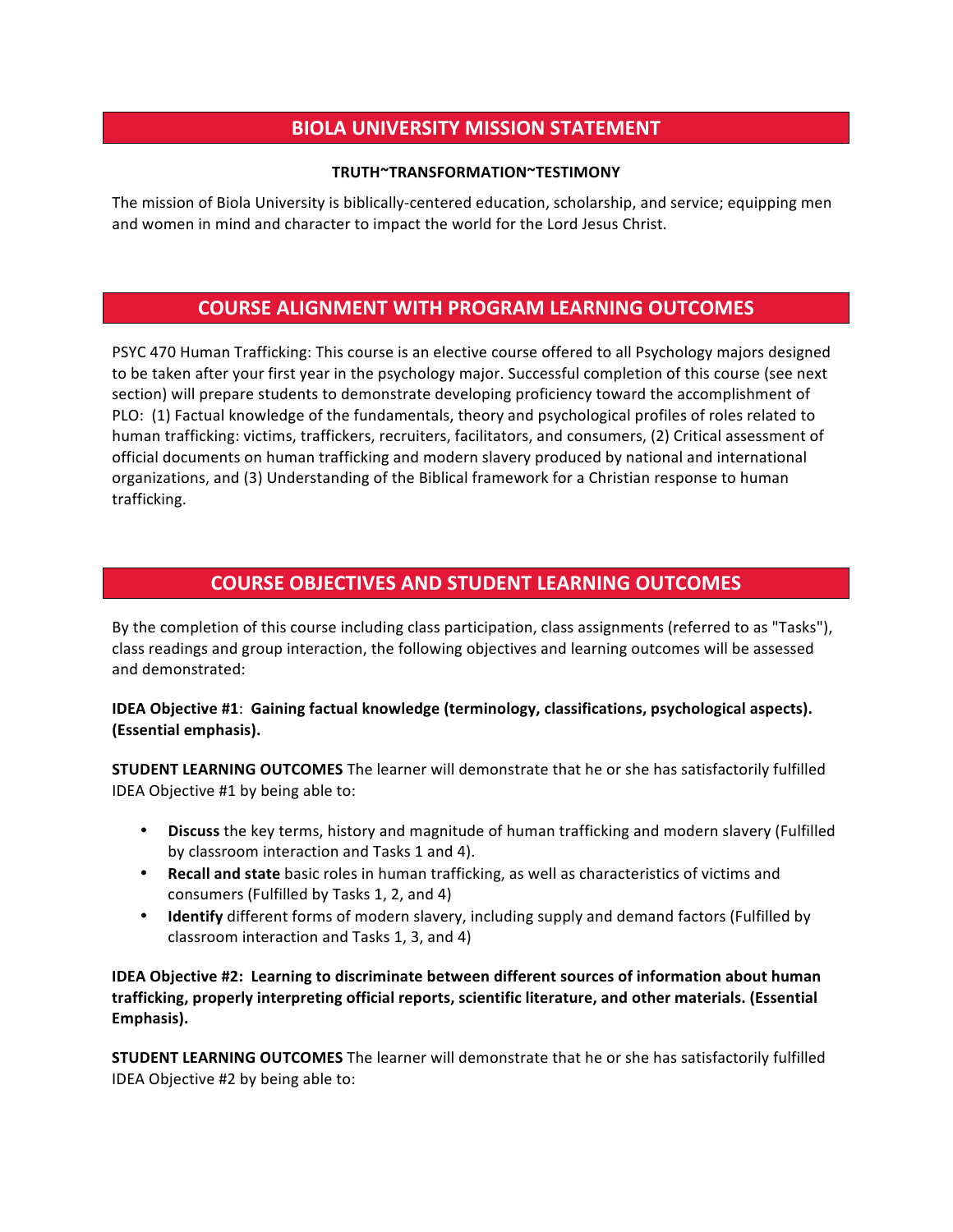# **BIOLA UNIVERSITY MISSION STATEMENT**

#### **TRUTH~TRANSFORMATION~TESTIMONY**

The mission of Biola University is biblically-centered education, scholarship, and service; equipping men and women in mind and character to impact the world for the Lord Jesus Christ.

## **COURSE ALIGNMENT WITH PROGRAM LEARNING OUTCOMES**

PSYC 470 Human Trafficking: This course is an elective course offered to all Psychology majors designed to be taken after your first year in the psychology major. Successful completion of this course (see next section) will prepare students to demonstrate developing proficiency toward the accomplishment of PLO: (1) Factual knowledge of the fundamentals, theory and psychological profiles of roles related to human trafficking: victims, traffickers, recruiters, facilitators, and consumers, (2) Critical assessment of official documents on human trafficking and modern slavery produced by national and international organizations, and (3) Understanding of the Biblical framework for a Christian response to human trafficking.

# **COURSE OBJECTIVES AND STUDENT LEARNING OUTCOMES**

By the completion of this course including class participation, class assignments (referred to as "Tasks"), class readings and group interaction, the following objectives and learning outcomes will be assessed and demonstrated:

### **IDEA Objective #1: Gaining factual knowledge (terminology, classifications, psychological aspects). (Essential emphasis).**

**STUDENT LEARNING OUTCOMES** The learner will demonstrate that he or she has satisfactorily fulfilled IDEA Objective #1 by being able to:

- **Discuss** the key terms, history and magnitude of human trafficking and modern slavery (Fulfilled by classroom interaction and Tasks 1 and 4).
- **Recall and state** basic roles in human trafficking, as well as characteristics of victims and consumers (Fulfilled by Tasks 1, 2, and 4)
- **Identify** different forms of modern slavery, including supply and demand factors (Fulfilled by classroom interaction and Tasks 1, 3, and 4)

**IDEA Objective #2: Learning to discriminate between different sources of information about human** trafficking, properly interpreting official reports, scientific literature, and other materials. (Essential **Emphasis).** 

**STUDENT LEARNING OUTCOMES** The learner will demonstrate that he or she has satisfactorily fulfilled IDEA Objective #2 by being able to: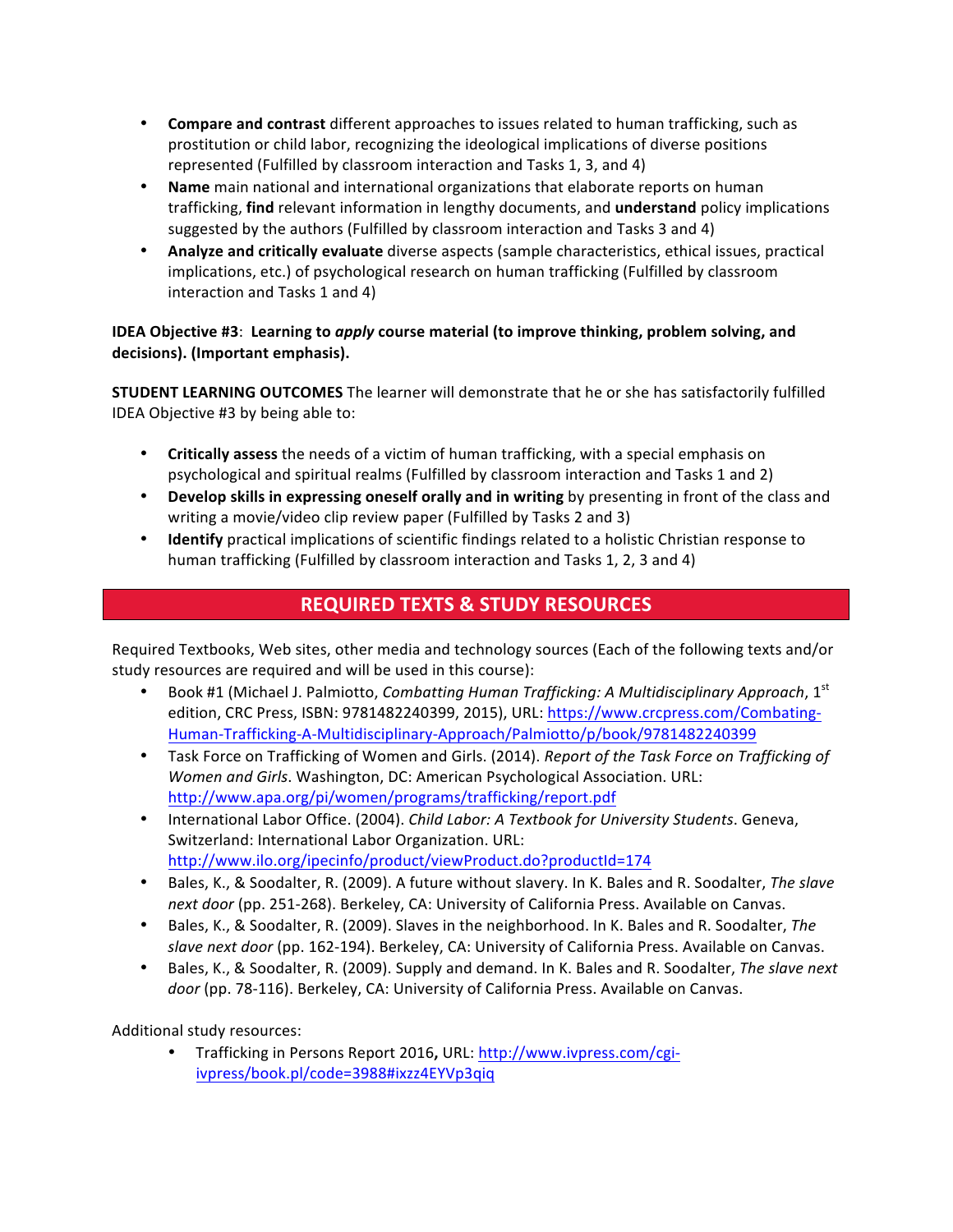- **Compare and contrast** different approaches to issues related to human trafficking, such as prostitution or child labor, recognizing the ideological implications of diverse positions represented (Fulfilled by classroom interaction and Tasks 1, 3, and 4)
- Name main national and international organizations that elaborate reports on human trafficking, **find** relevant information in lengthy documents, and **understand** policy implications suggested by the authors (Fulfilled by classroom interaction and Tasks 3 and 4)
- **Analyze and critically evaluate** diverse aspects (sample characteristics, ethical issues, practical implications, etc.) of psychological research on human trafficking (Fulfilled by classroom interaction and Tasks 1 and 4)

## **IDEA Objective #3: Learning to** *apply* **course material (to improve thinking, problem solving, and** decisions). (Important emphasis).

**STUDENT LEARNING OUTCOMES** The learner will demonstrate that he or she has satisfactorily fulfilled IDEA Objective #3 by being able to:

- Critically assess the needs of a victim of human trafficking, with a special emphasis on psychological and spiritual realms (Fulfilled by classroom interaction and Tasks 1 and 2)
- **Develop skills in expressing oneself orally and in writing** by presenting in front of the class and writing a movie/video clip review paper (Fulfilled by Tasks 2 and 3)
- **Identify** practical implications of scientific findings related to a holistic Christian response to human trafficking (Fulfilled by classroom interaction and Tasks 1, 2, 3 and 4)

# **REQUIRED TEXTS & STUDY RESOURCES**

Required Textbooks, Web sites, other media and technology sources (Each of the following texts and/or study resources are required and will be used in this course):

- Book #1 (Michael J. Palmiotto, *Combatting Human Trafficking: A Multidisciplinary Approach*, 1<sup>st</sup> edition, CRC Press, ISBN: 9781482240399, 2015), URL: https://www.crcpress.com/Combating-Human-Trafficking-A-Multidisciplinary-Approach/Palmiotto/p/book/9781482240399
- Task Force on Trafficking of Women and Girls. (2014). *Report of the Task Force on Trafficking of Women and Girls*. Washington, DC: American Psychological Association. URL: http://www.apa.org/pi/women/programs/trafficking/report.pdf
- International Labor Office. (2004). *Child Labor: A Textbook for University Students*. Geneva, Switzerland: International Labor Organization. URL: http://www.ilo.org/ipecinfo/product/viewProduct.do?productId=174
- Bales, K., & Soodalter, R. (2009). A future without slavery. In K. Bales and R. Soodalter, *The slave* next door (pp. 251-268). Berkeley, CA: University of California Press. Available on Canvas.
- Bales, K., & Soodalter, R. (2009). Slaves in the neighborhood. In K. Bales and R. Soodalter, The slave next door (pp. 162-194). Berkeley, CA: University of California Press. Available on Canvas.
- Bales, K., & Soodalter, R. (2009). Supply and demand. In K. Bales and R. Soodalter, *The slave next* door (pp. 78-116). Berkeley, CA: University of California Press. Available on Canvas.

Additional study resources:

• Trafficking in Persons Report 2016, URL: http://www.ivpress.com/cgiivpress/book.pl/code=3988#ixzz4EYVp3qiq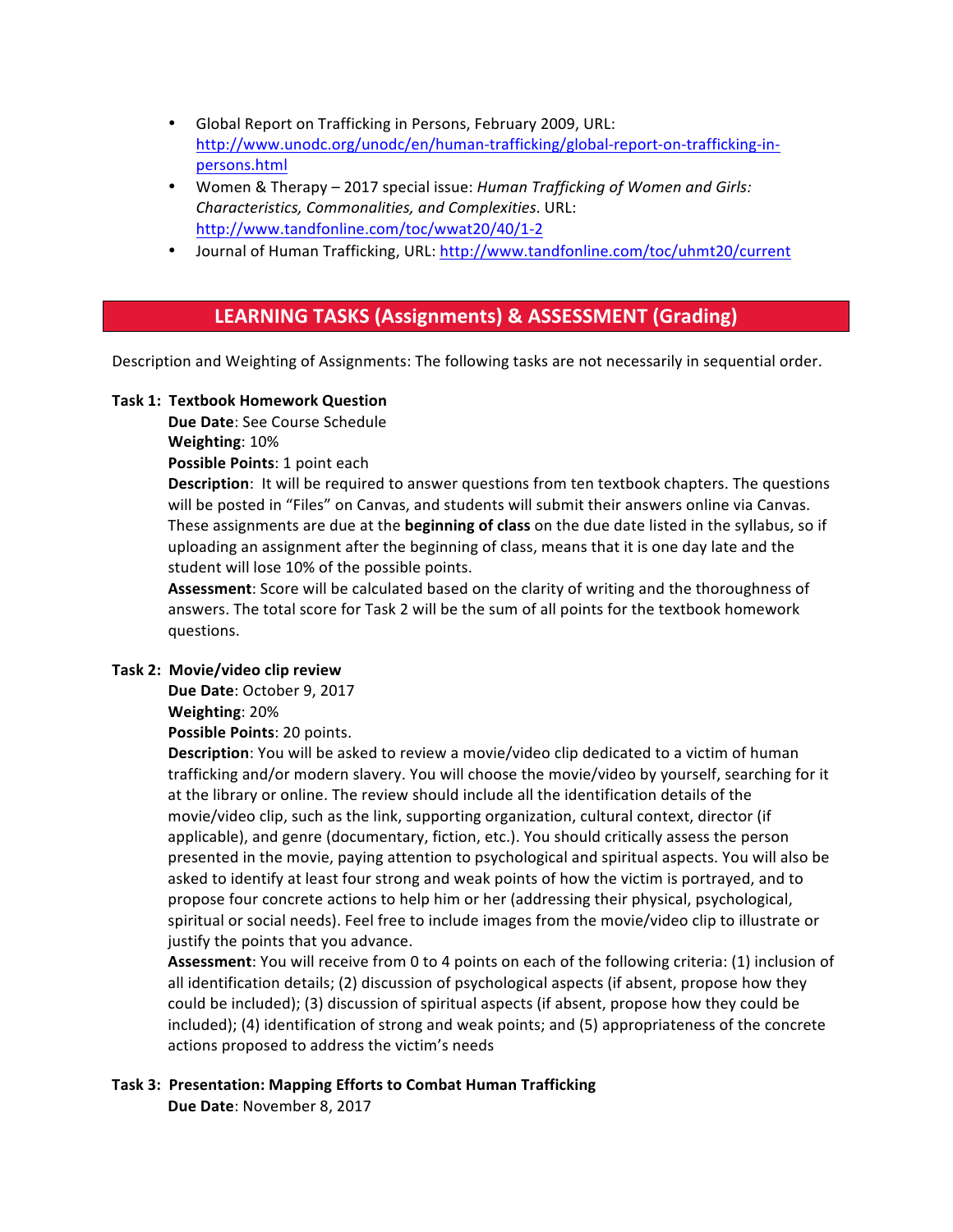- Global Report on Trafficking in Persons, February 2009, URL: http://www.unodc.org/unodc/en/human-trafficking/global-report-on-trafficking-inpersons.html
- Women & Therapy 2017 special issue: *Human Trafficking of Women and Girls: Characteristics, Commonalities, and Complexities*. URL: http://www.tandfonline.com/toc/wwat20/40/1-2
- Journal of Human Trafficking, URL: http://www.tandfonline.com/toc/uhmt20/current

## **LEARNING TASKS (Assignments) & ASSESSMENT (Grading)**

Description and Weighting of Assignments: The following tasks are not necessarily in sequential order.

#### **Task 1: Textbook Homework Question**

**Due Date:** See Course Schedule

**Weighting**: 10%

**Possible Points: 1 point each** 

**Description**: It will be required to answer questions from ten textbook chapters. The questions will be posted in "Files" on Canvas, and students will submit their answers online via Canvas. These assignments are due at the **beginning of class** on the due date listed in the syllabus, so if uploading an assignment after the beginning of class, means that it is one day late and the student will lose 10% of the possible points.

Assessment: Score will be calculated based on the clarity of writing and the thoroughness of answers. The total score for Task 2 will be the sum of all points for the textbook homework questions.

#### **Task 2: Movie/video clip review**

Due Date: October 9, 2017 **Weighting**: 20%

**Possible Points: 20 points.** 

**Description**: You will be asked to review a movie/video clip dedicated to a victim of human trafficking and/or modern slavery. You will choose the movie/video by yourself, searching for it at the library or online. The review should include all the identification details of the movie/video clip, such as the link, supporting organization, cultural context, director (if applicable), and genre (documentary, fiction, etc.). You should critically assess the person presented in the movie, paying attention to psychological and spiritual aspects. You will also be asked to identify at least four strong and weak points of how the victim is portrayed, and to propose four concrete actions to help him or her (addressing their physical, psychological, spiritual or social needs). Feel free to include images from the movie/video clip to illustrate or justify the points that you advance.

Assessment: You will receive from 0 to 4 points on each of the following criteria: (1) inclusion of all identification details; (2) discussion of psychological aspects (if absent, propose how they could be included); (3) discussion of spiritual aspects (if absent, propose how they could be included); (4) identification of strong and weak points; and (5) appropriateness of the concrete actions proposed to address the victim's needs

#### **Task 3: Presentation: Mapping Efforts to Combat Human Trafficking** Due Date: November 8, 2017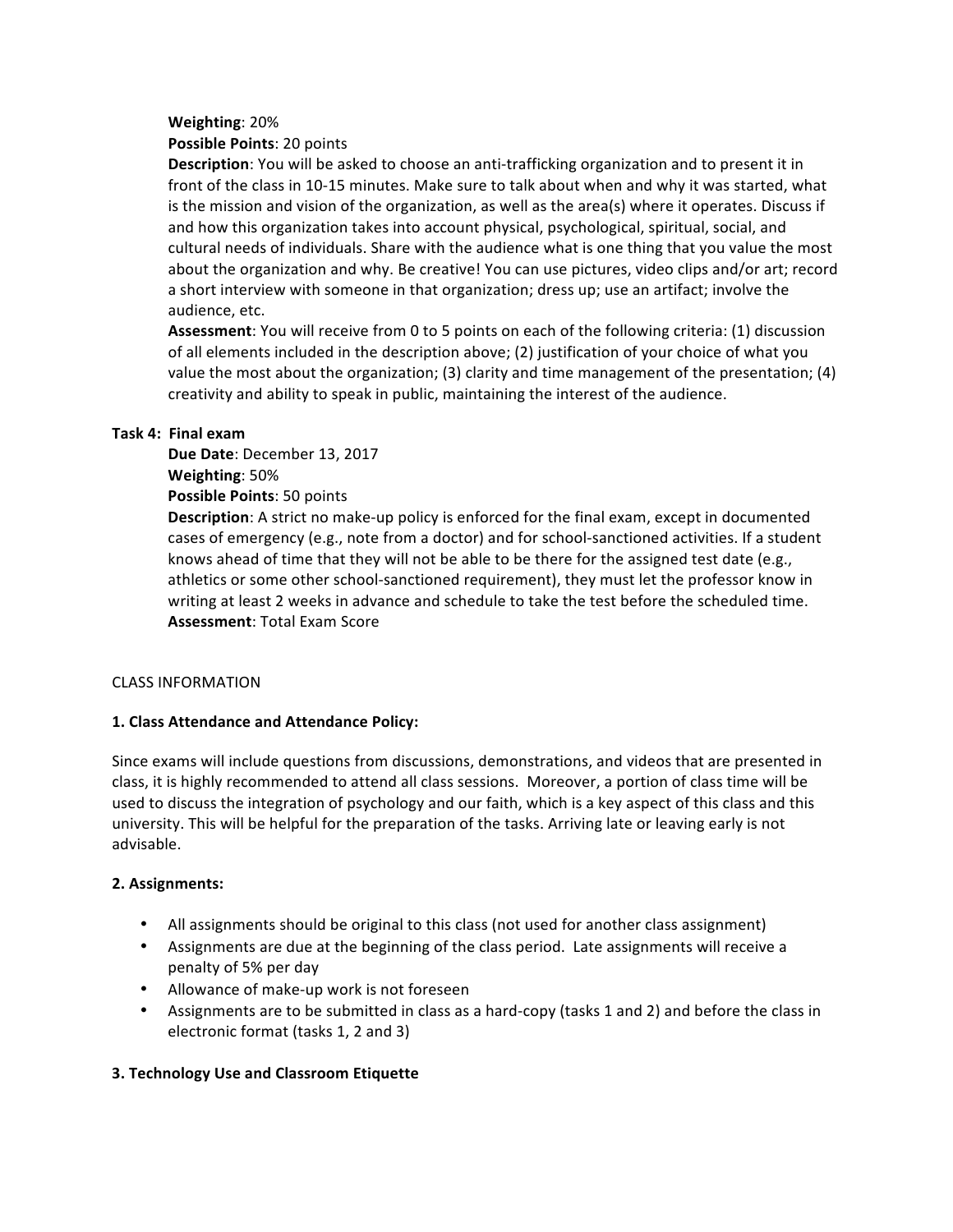#### **Weighting**: 20%

#### **Possible Points: 20 points**

**Description**: You will be asked to choose an anti-trafficking organization and to present it in front of the class in 10-15 minutes. Make sure to talk about when and why it was started, what is the mission and vision of the organization, as well as the area(s) where it operates. Discuss if and how this organization takes into account physical, psychological, spiritual, social, and cultural needs of individuals. Share with the audience what is one thing that you value the most about the organization and why. Be creative! You can use pictures, video clips and/or art; record a short interview with someone in that organization; dress up; use an artifact; involve the audience, etc.

**Assessment**: You will receive from 0 to 5 points on each of the following criteria: (1) discussion of all elements included in the description above; (2) justification of your choice of what you value the most about the organization; (3) clarity and time management of the presentation; (4) creativity and ability to speak in public, maintaining the interest of the audience.

#### **Task 4: Final exam**

Due Date: December 13, 2017 **Weighting**: 50% **Possible Points: 50 points** 

**Description**: A strict no make-up policy is enforced for the final exam, except in documented cases of emergency (e.g., note from a doctor) and for school-sanctioned activities. If a student knows ahead of time that they will not be able to be there for the assigned test date (e.g., athletics or some other school-sanctioned requirement), they must let the professor know in writing at least 2 weeks in advance and schedule to take the test before the scheduled time. **Assessment: Total Exam Score** 

#### CLASS INFORMATION

#### **1. Class Attendance and Attendance Policy:**

Since exams will include questions from discussions, demonstrations, and videos that are presented in class, it is highly recommended to attend all class sessions. Moreover, a portion of class time will be used to discuss the integration of psychology and our faith, which is a key aspect of this class and this university. This will be helpful for the preparation of the tasks. Arriving late or leaving early is not advisable.

#### **2. Assignments:**

- All assignments should be original to this class (not used for another class assignment)
- Assignments are due at the beginning of the class period. Late assignments will receive a penalty of 5% per day
- Allowance of make-up work is not foreseen
- Assignments are to be submitted in class as a hard-copy (tasks 1 and 2) and before the class in electronic format (tasks 1, 2 and 3)

#### **3. Technology Use and Classroom Etiquette**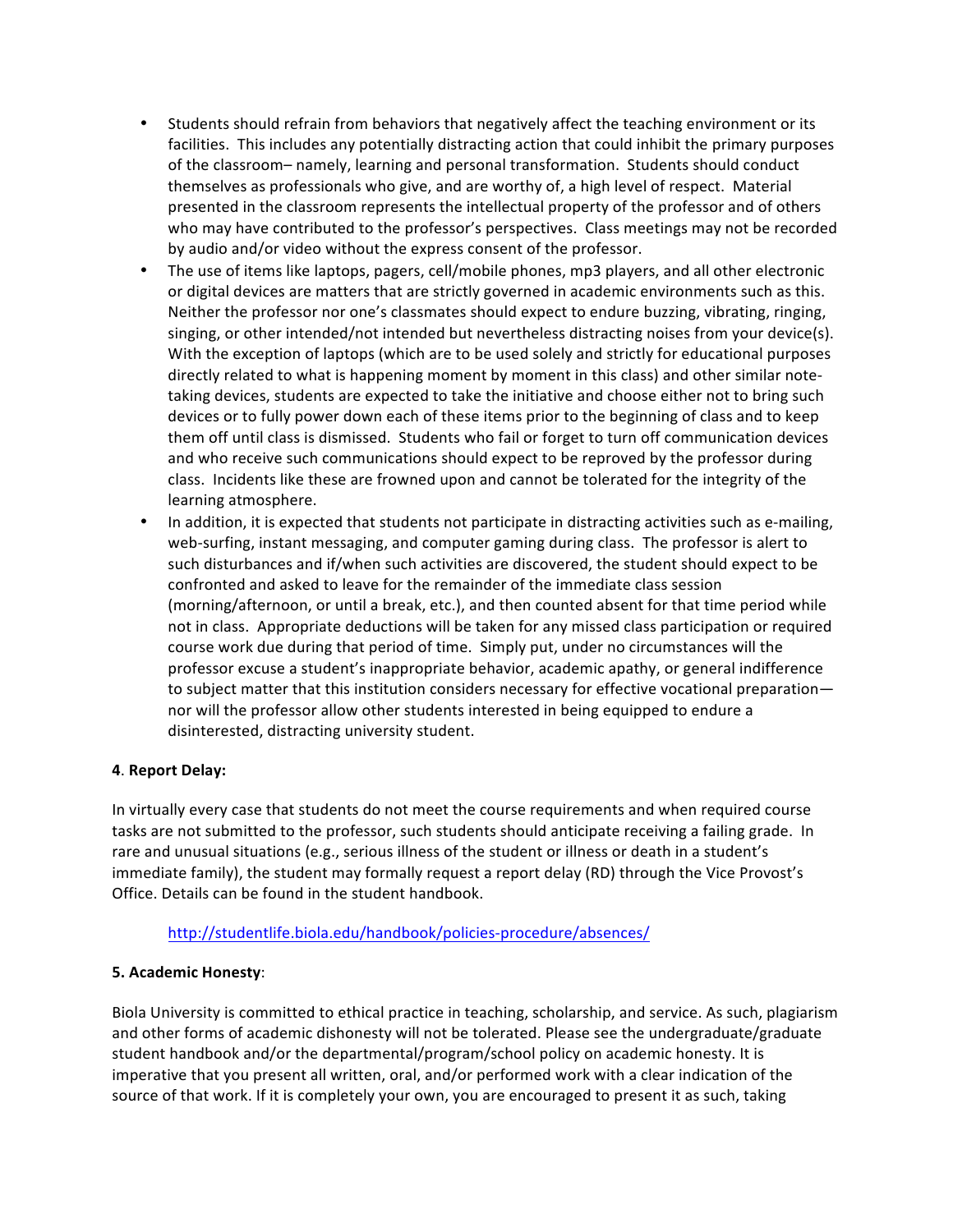- Students should refrain from behaviors that negatively affect the teaching environment or its facilities. This includes any potentially distracting action that could inhibit the primary purposes of the classroom- namely, learning and personal transformation. Students should conduct themselves as professionals who give, and are worthy of, a high level of respect. Material presented in the classroom represents the intellectual property of the professor and of others who may have contributed to the professor's perspectives. Class meetings may not be recorded by audio and/or video without the express consent of the professor.
- The use of items like laptops, pagers, cell/mobile phones, mp3 players, and all other electronic or digital devices are matters that are strictly governed in academic environments such as this. Neither the professor nor one's classmates should expect to endure buzzing, vibrating, ringing, singing, or other intended/not intended but nevertheless distracting noises from your device(s). With the exception of laptops (which are to be used solely and strictly for educational purposes directly related to what is happening moment by moment in this class) and other similar notetaking devices, students are expected to take the initiative and choose either not to bring such devices or to fully power down each of these items prior to the beginning of class and to keep them off until class is dismissed. Students who fail or forget to turn off communication devices and who receive such communications should expect to be reproved by the professor during class. Incidents like these are frowned upon and cannot be tolerated for the integrity of the learning atmosphere.
- In addition, it is expected that students not participate in distracting activities such as e-mailing, web-surfing, instant messaging, and computer gaming during class. The professor is alert to such disturbances and if/when such activities are discovered, the student should expect to be confronted and asked to leave for the remainder of the immediate class session (morning/afternoon, or until a break, etc.), and then counted absent for that time period while not in class. Appropriate deductions will be taken for any missed class participation or required course work due during that period of time. Simply put, under no circumstances will the professor excuse a student's inappropriate behavior, academic apathy, or general indifference to subject matter that this institution considers necessary for effective vocational preparation nor will the professor allow other students interested in being equipped to endure a disinterested, distracting university student.

#### **4**. **Report Delay:**

In virtually every case that students do not meet the course requirements and when required course tasks are not submitted to the professor, such students should anticipate receiving a failing grade. In rare and unusual situations (e.g., serious illness of the student or illness or death in a student's immediate family), the student may formally request a report delay (RD) through the Vice Provost's Office. Details can be found in the student handbook.

#### http://studentlife.biola.edu/handbook/policies-procedure/absences/

#### **5. Academic Honesty**:

Biola University is committed to ethical practice in teaching, scholarship, and service. As such, plagiarism and other forms of academic dishonesty will not be tolerated. Please see the undergraduate/graduate student handbook and/or the departmental/program/school policy on academic honesty. It is imperative that you present all written, oral, and/or performed work with a clear indication of the source of that work. If it is completely your own, you are encouraged to present it as such, taking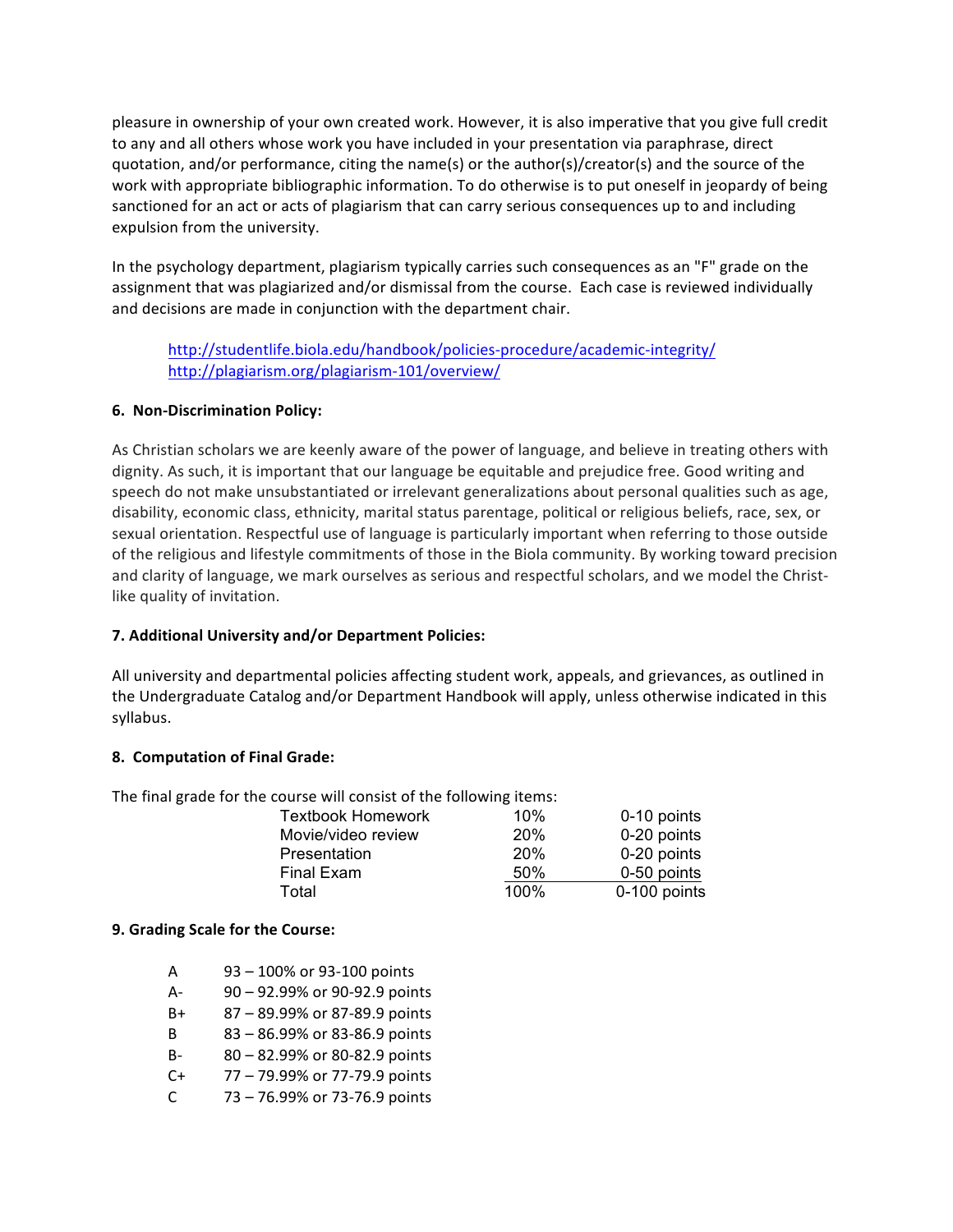pleasure in ownership of your own created work. However, it is also imperative that you give full credit to any and all others whose work you have included in your presentation via paraphrase, direct quotation, and/or performance, citing the name(s) or the author(s)/creator(s) and the source of the work with appropriate bibliographic information. To do otherwise is to put oneself in jeopardy of being sanctioned for an act or acts of plagiarism that can carry serious consequences up to and including expulsion from the university.

In the psychology department, plagiarism typically carries such consequences as an "F" grade on the assignment that was plagiarized and/or dismissal from the course. Each case is reviewed individually and decisions are made in conjunction with the department chair.

http://studentlife.biola.edu/handbook/policies-procedure/academic-integrity/ http://plagiarism.org/plagiarism-101/overview/

#### **6. Non-Discrimination Policy:**

As Christian scholars we are keenly aware of the power of language, and believe in treating others with dignity. As such, it is important that our language be equitable and prejudice free. Good writing and speech do not make unsubstantiated or irrelevant generalizations about personal qualities such as age, disability, economic class, ethnicity, marital status parentage, political or religious beliefs, race, sex, or sexual orientation. Respectful use of language is particularly important when referring to those outside of the religious and lifestyle commitments of those in the Biola community. By working toward precision and clarity of language, we mark ourselves as serious and respectful scholars, and we model the Christlike quality of invitation.

### **7. Additional University and/or Department Policies:**

All university and departmental policies affecting student work, appeals, and grievances, as outlined in the Undergraduate Catalog and/or Department Handbook will apply, unless otherwise indicated in this syllabus.

#### **8. Computation of Final Grade:**

The final grade for the course will consist of the following items:

| <b>Textbook Homework</b> | 10%  | 0-10 points  |
|--------------------------|------|--------------|
| Movie/video review       | 20%  | 0-20 points  |
| Presentation             | 20%  | 0-20 points  |
| Final Exam               | 50%  | 0-50 points  |
| Total                    | 100% | 0-100 points |

#### **9. Grading Scale for the Course:**

- A 93 100% or 93-100 points
- A- 90 92.99% or 90-92.9 points
- B+ 87 89.99% or 87-89.9 points
- B 83 86.99% or 83-86.9 points
- B- 80 82.99% or 80-82.9 points
- $C+$  77 79.99% or 77-79.9 points
- C  $73 76.99\%$  or 73-76.9 points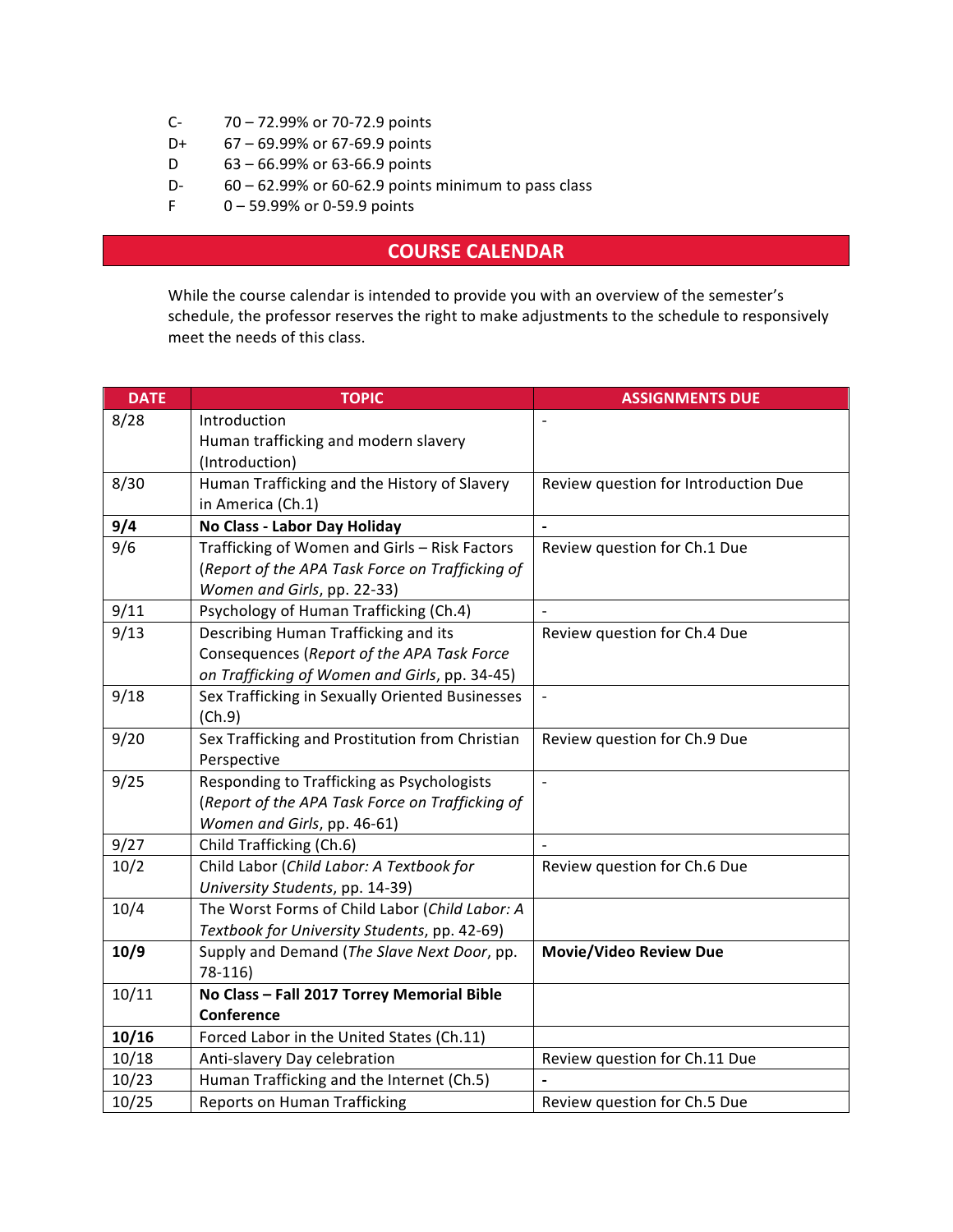- C- 70 72.99% or 70-72.9 points
- D+ 67 69.99% or 67-69.9 points
- D 63 66.99% or 63-66.9 points
- D-  $60 62.99\%$  or 60-62.9 points minimum to pass class
- F 0 59.99% or 0-59.9 points

## **COURSE CALENDAR**

While the course calendar is intended to provide you with an overview of the semester's schedule, the professor reserves the right to make adjustments to the schedule to responsively meet the needs of this class.

| <b>DATE</b> | <b>TOPIC</b>                                    | <b>ASSIGNMENTS DUE</b>               |
|-------------|-------------------------------------------------|--------------------------------------|
| 8/28        | Introduction                                    |                                      |
|             | Human trafficking and modern slavery            |                                      |
|             | (Introduction)                                  |                                      |
| 8/30        | Human Trafficking and the History of Slavery    | Review question for Introduction Due |
|             | in America (Ch.1)                               |                                      |
| 9/4         | No Class - Labor Day Holiday                    | $\blacksquare$                       |
| 9/6         | Trafficking of Women and Girls - Risk Factors   | Review question for Ch.1 Due         |
|             | (Report of the APA Task Force on Trafficking of |                                      |
|             | Women and Girls, pp. 22-33)                     |                                      |
| 9/11        | Psychology of Human Trafficking (Ch.4)          |                                      |
| 9/13        | Describing Human Trafficking and its            | Review question for Ch.4 Due         |
|             | Consequences (Report of the APA Task Force      |                                      |
|             | on Trafficking of Women and Girls, pp. 34-45)   |                                      |
| 9/18        | Sex Trafficking in Sexually Oriented Businesses |                                      |
|             | (Ch.9)                                          |                                      |
| 9/20        | Sex Trafficking and Prostitution from Christian | Review question for Ch.9 Due         |
|             | Perspective                                     |                                      |
| 9/25        | Responding to Trafficking as Psychologists      | $\overline{a}$                       |
|             | (Report of the APA Task Force on Trafficking of |                                      |
|             | Women and Girls, pp. 46-61)                     |                                      |
| 9/27        | Child Trafficking (Ch.6)                        |                                      |
| 10/2        | Child Labor (Child Labor: A Textbook for        | Review question for Ch.6 Due         |
|             | University Students, pp. 14-39)                 |                                      |
| 10/4        | The Worst Forms of Child Labor (Child Labor: A  |                                      |
|             | Textbook for University Students, pp. 42-69)    |                                      |
| 10/9        | Supply and Demand (The Slave Next Door, pp.     | <b>Movie/Video Review Due</b>        |
|             | 78-116)                                         |                                      |
| 10/11       | No Class - Fall 2017 Torrey Memorial Bible      |                                      |
|             | Conference                                      |                                      |
| 10/16       | Forced Labor in the United States (Ch.11)       |                                      |
| 10/18       | Anti-slavery Day celebration                    | Review question for Ch.11 Due        |
| 10/23       | Human Trafficking and the Internet (Ch.5)       |                                      |
| 10/25       | <b>Reports on Human Trafficking</b>             | Review question for Ch.5 Due         |